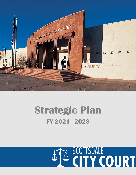

# **Strategic Plan FY 2021—2023**

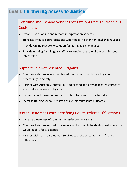# **Goal I. Furthering Access to Justice**

## Continue and Expand Services for Limited English Proficient **Customers**

- Expand use of online and remote interpretation services.
- Translate integral court forms and web videos in other non-english languages.
- Provide Online Dispute Resolution for Non-English languages.
- Provide training for bilingual staff by expanding the role of the certified court interpreter.

### Support Self-Represented Litigants

- Continue to improve internet- based tools to assist with handling court proceedings remotely.
- Partner with Arizona Supreme Court to expand and provide legal resources to assist self-represented litigants.
- Enhance court forms and website content to be more user-friendly.
- Increase training for court staff to assist self-represented litigants.

### Assist Customers with Satisfying Court Ordered Obligations

- Increase awareness of community restitution programs.
- Continue to improve court processes and documents to identify customers that would qualify for assistance.
- Partner with Scottsdale Human Services to assist customers with financial difficulties.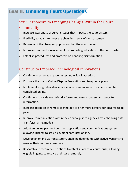# **Goal II. Enhancing Court Operations**

### Stay Responsive to Emerging Changes Within the Court **Community**

- Increase awareness of current issues that impacts the court system.
- Flexibility to adapt to meet the changing needs of our customers.
- Be aware of the changing population that the court serves.
- Improve community involvement by promoting education of the court system.
- Establish procedures and protocols on handling disinformation.

### Continue to Embrace Technological Innovations

- Continue to serve as a leader in technological invocation.
- Promote the use of Online Dispute Resolution and telephonic pleas.
- Implement a digital evidence model where submission of evidence can be completed online.
- Continue to provide user friendly forms and easy to understand website information.
- Increase adoption of remote technology to offer more options for litigants to appear.
- Improve communication within the criminal justice agencies by enhancing data transfer/sharing models.
- Adopt an online payment contract application and communications system, allowing litigants to set up payment contracts online.
- Develop an online warrant system, enabling defendants with active warrants to resolve their warrants remotely.
- Research and recommend options to establish a virtual courthouse, allowing eligible litigants to resolve their case remotely.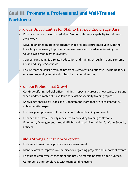# **Goal III. Promote a Professional and Well-Trained Workforce**

### Provide Opportunities for Staff to Develop Knowledge Base

- Enhance the use of web-based video/audio conference capability to train court employees.
- Develop an ongoing training program that provides court employees with the knowledge necessary to properly process cases and be adverse in using the Court's Case Management System.
- Support continuing job-related education and training through Arizona Supreme Court and City of Scottsdale.
- Ensure that the court's training program is efficient and effective, including focus on case processing and standardized instructional method.

### Promote Professional Growth

- Continue offering judicial officer training in specialty areas as new topics arise and when updated material is available for existing specialty training topics.
- Knowledge sharing by Leads and Management Team that are "designated" as subject matter experts.
- Encourage employee enrollment at court related training and events.
- Enhance security and safety measures by providing training of National Emergency Management through FEMA, and specialize training for Court Security Officers.

### Build a Strong Cohesive Workgroup

- Endeavor to maintain a positive work environment.
- Identify ways to improve communication regarding projects and important events.
- Encourage employee engagement and provide morale boosting opportunities.
- Continue to offer employees with team building events.